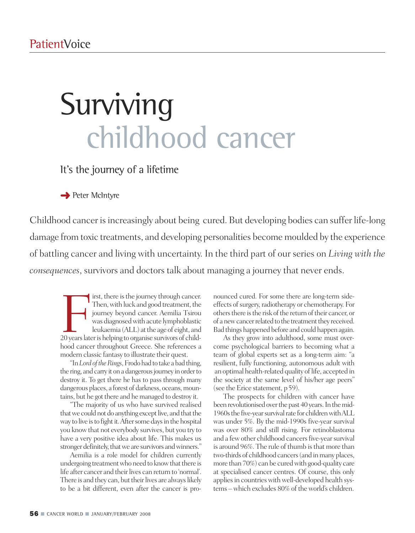# Surviving childhood cancer

It's the journey of a lifetime

**→** Peter McIntyre

Childhood cancer is increasingly about being cured. But developing bodies can suffer life-long damage from toxic treatments, and developing personalities become moulded by the experience of battling cancer and living with uncertainty. In the third part of our series on *Living with the consequences*, survivors and doctors talk about managing a journey that never ends.

First, there is the journey through cancer.<br>Then, with luck and good treatment, the<br>journey beyond cancer. Aemilia Tsirou<br>was diagnosed with acute lymphoblastic<br>leukaemia (ALL) at the age of eight, and<br>20 years later is he irst, there is the journey through cancer. Then, with luck and good treatment, the journey beyond cancer. Aemilia Tsirou was diagnosed with acute lymphoblastic leukaemia (ALL) at the age of eight, and hood cancer throughout Greece. She references a modern classic fantasy to illustrate their quest.

"In *Lord* of the Rings, Frodo had to take a bad thing, the ring, and carry it on a dangerous journey in order to destroy it. To get there he has to pass through many dangerous places, a forest of darkness, oceans, mountains, but he got there and he managed to destroy it.

"The majority of us who have survived realised that we could not do anything except live, and that the way to live is to fight it. After some days in the hospital you knowthat not everybody survives, but you try to have a very positive idea about life. This makes us stronger definitely, that we are survivors and winners."

Aemilia is a role model for children currently undergoing treatment who need to know that there is life after cancer and their lives can return to 'normal'. There is and they can, but their lives are always likely to be a bit different, even after the cancer is pronounced cured. For some there are long-term sideeffects of surgery, radiotherapy or chemotherapy. For others there is the risk of the return of their cancer, or of a new cancer related to the treatment they received. Bad things happened before and could happen again.

As they grow into adulthood, some must overcome psychological barriers to becoming what a team of global experts set as a long-term aim: "a resilient, fully functioning, autonomous adult with an optimal health-related quality of life, accepted in the society at the same level of his/her age peers" (see the Erice statement, p59).

The prospects for children with cancer have been revolutionised over the past 40 years. In the mid-1960s the five-year survival rate for children with ALL was under 5%. By the mid-1990s five-year survival was over 80% and still rising. For retinoblastoma and a few other childhood cancers five-year survival is around 96%. The rule of thumb is that more than two-thirds of childhood cancers (and in many places, more than 70%) can be cured with good-quality care at specialised cancer centres. Of course, this only applies in countries with well-developed health systems –which excludes 80% of theworld's children.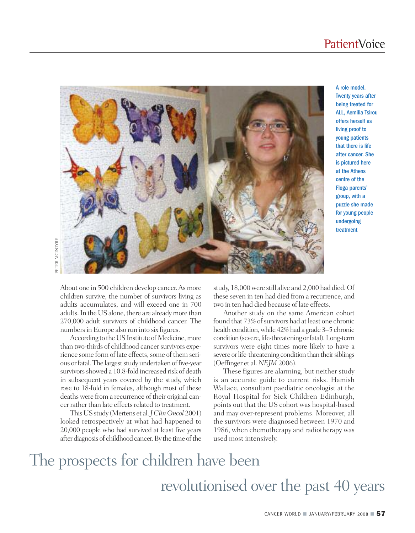### **PatientVoice**



A role model. Twenty years after being treated for ALL, Aemilia Tsirou offers herself as living proof to young patients that there is life after cancer. She is pictured here at the Athens centre of the Floga parents' group, with a puzzle she made for young people undergoing treatment

About one in 500 children develop cancer.As more children survive, the number of survivors living as adults accumulates, and will exceed one in 700 adults. In the US alone, there are already more than 270,000 adult survivors of childhood cancer. The numbers in Europe also run into six figures.

According to the US Institute of Medicine, more than two-thirds of childhood cancer survivors experience some form of late effects, some of them serious or fatal. The largest study undertaken of five-year survivors showed a 10.8-fold increased risk of death in subsequent years covered by the study, which rose to 18-fold in females, although most of these deaths were from a recurrence of their original cancer rather than late effects related to treatment.

ThisUSstudy (Mertens et al.*JClinOncol* 2001) looked retrospectively at what had happened to 20,000 people who had survived at least five years after diagnosis of childhood cancer. By the time of the

study, 18,000 were still alive and 2,000 had died. Of these seven in ten had died from a recurrence, and two in ten had died because of late effects.

Another study on the same American cohort found that 73% of survivors had at least one chronic health condition, while 42% had a grade 3–5 chronic condition (severe, life-threatening or fatal). Long-term survivors were eight times more likely to have a severe or life-threatening condition than their siblings (Oeffinger et al. *NEJM* 2006).

These figures are alarming, but neither study is an accurate guide to current risks. Hamish Wallace, consultant paediatric oncologist at the Royal Hospital for Sick Children Edinburgh, points out that the US cohort was hospital-based and may over-represent problems. Moreover, all the survivors were diagnosed between 1970 and 1986, when chemotherapy and radiotherapy was used most intensively.

### The prospects for children have been revolutionised over the past 40 years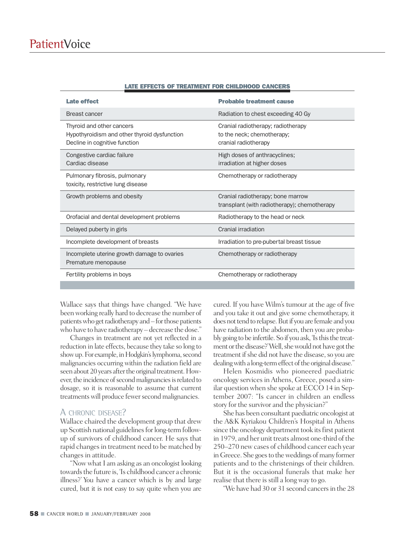| <b>Late effect</b>                                                                                         | <b>Probable treatment cause</b>                                                          |
|------------------------------------------------------------------------------------------------------------|------------------------------------------------------------------------------------------|
| Breast cancer                                                                                              | Radiation to chest exceeding 40 Gy                                                       |
| Thyroid and other cancers<br>Hypothyroidism and other thyroid dysfunction<br>Decline in cognitive function | Cranial radiotherapy; radiotherapy<br>to the neck; chemotherapy;<br>cranial radiotherapy |
| Congestive cardiac failure<br>Cardiac disease                                                              | High doses of anthracyclines;<br>irradiation at higher doses                             |
| Pulmonary fibrosis, pulmonary<br>toxicity, restrictive lung disease                                        | Chemotherapy or radiotherapy                                                             |
| Growth problems and obesity                                                                                | Cranial radiotherapy; bone marrow<br>transplant (with radiotherapy); chemotherapy        |
| Orofacial and dental development problems                                                                  | Radiotherapy to the head or neck                                                         |
| Delayed puberty in girls                                                                                   | Cranial irradiation                                                                      |
| Incomplete development of breasts                                                                          | Irradiation to pre-pubertal breast tissue                                                |
| Incomplete uterine growth damage to ovaries<br>Premature menopause                                         | Chemotherapy or radiotherapy                                                             |
| Fertility problems in boys                                                                                 | Chemotherapy or radiotherapy                                                             |

#### **LATE EFFECTS OF TREATMENT FOR CHILDHOOD CANCERS**

Wallace says that things have changed. "We have beenworking really hard to decrease the number of patients who get radiotherapy and – for those patients who have to have radiotherapy – decrease the dose."

Changes in treatment are not yet reflected in a reduction in late effects, because they take so long to show up. For example, in Hodgkin's lymphoma, second malignancies occurring within the radiation field are seen about 20 years after the original treatment. However, the incidence of second malignancies is related to dosage, so it is reasonable to assume that current treatments will produce fewer second malignancies.

#### A CHRONIC DISEASE?

Wallace chaired the development group that drew up Scottish national guidelines for long-term followup of survivors of childhood cancer. He says that rapid changes in treatment need to be matched by changes in attitude.

"Now what I am asking as an oncologist looking towards the future is, 'Is childhood cancer a chronic illness?' You have a cancer which is by and large cured, but it is not easy to say quite when you are

cured. If you have Wilm's tumour at the age of five and you take it out and give some chemotherapy, it does not tend to relapse. But if you are female and you have radiation to the abdomen, then you are probably going to be infertile. So if you ask, 'Is this the treatment or the disease?'Well, she would not have got the treatment if she did not have the disease, so you are dealing with a long-term effect of the original disease."

Helen Kosmidis who pioneered paediatric oncology services inAthens, Greece, posed a similar question when she spoke at ECCO 14 in September 2007: "Is cancer in children an endless story for the survivor and the physician?"

She has been consultant paediatric oncologist at the A&K Kyriakou Children's Hospital in Athens since the oncology department took its first patient in 1979, and her unit treats almost one-third of the 250–270 new cases of childhood cancer each year in Greece. She goes to the weddings of many former patients and to the christenings of their children. But it is the occasional funerals that make her realise that there is still a long way to go.

"We have had 30 or 31 second cancers in the 28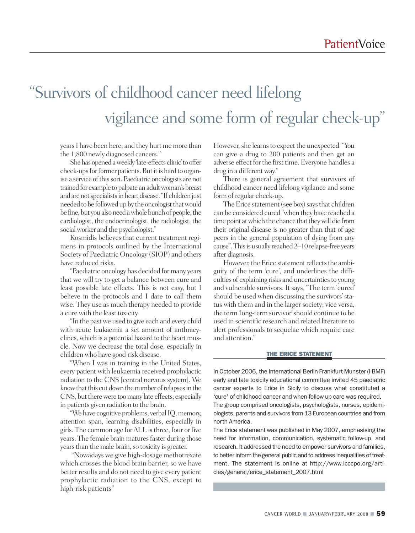### "Survivors of childhood cancer need lifelong vigilance and some form of regular check-up "

years I have been here, and they hurt me more than the 1,800 newly diagnosed cancers."

Shehas openedaweekly 'late-effects clinic'to offer check-ups for former patients. But it is hard to organise a service of this sort. Paediatric oncologists are not trained for example to palpate an adult woman's breast and are not specialists in heart disease. "If children just needed to be followed up by the oncologist that would be fine, but you also need a whole bunch of people, the cardiologist, the endocrinologist, the radiologist, the social worker and the psychologist."

Kosmidis believes that current treatment regimens in protocols outlined by the International Society of Paediatric Oncology (SIOP) and others have reduced risks.

"Paediatric oncology has decided formany years that we will try to get a balance between cure and least possible late effects. This is not easy, but I believe in the protocols and I dare to call them wise. They use as much therapy needed to provide a cure with the least toxicity.

"In the pastwe used to give each and every child with acute leukaemia a set amount of anthracyclines,which is a potential hazard to the heart muscle. Now we decrease the total dose, especially in childrenwho have good-risk disease.

"When I was in training in the United States, every patient with leukaemia received prophylactic radiation to the CNS [central nervous system]. We know that this cut down the number of relapses in the CNS, but there were too many late effects, especially in patients given radiation to the brain.

"We have cognitive problems, verbal IQ, memory, attention span, learning disabilities, especially in girls. The common age forALL isthree, four or five years. The female brain matures faster during those years than the male brain, so toxicity is greater.

"Nowadays we give high-dosage methotrexate which crosses the blood brain barrier, so we have better results and do not need to give every patient prophylactic radiation to the CNS, except to high-risk patients"

However, she learns to expect the unexpected. "You can give a drug to 200 patients and then get an adverse effect for the first time. Everyone handles a drug in a different way."

There is general agreement that survivors of childhood cancer need lifelong vigilance and some form of regular check-up.

The Erice statement (see box) says that children can be considered cured "when they have reached a time point at which the chance that they will die from their original disease is no greater than that of age peers in the general population of dying from any cause". This is usually reached 2–10 relapse-free years after diagnosis.

However, the Erice statement reflects the ambiguity of the term 'cure', and underlines the difficulties of explaining risks and uncertainties to young and vulnerable survivors. It says, "The term 'cured' should be used when discussing the survivors'status with them and in the larger society; vice versa, the term 'long-term survivor'should continue to be used in scientific research and related literature to alert professionals to sequelae which require care and attention."

#### **THE ERICE STATEMENT**

In October 2006, the International Berlin-Frankfurt-Munster (I-BMF) early and late toxicity educational committee invited 45 paediatric cancer experts to Erice in Sicily to discuss what constituted a 'cure' of childhood cancer and when follow-up care was required. The group comprised oncologists, psychologists, nurses, epidemiologists, parents and survivors from 13 European countries and from north America.

The Erice statement was published in May 2007, emphasising the need for information, communication, systematic follow-up, and research. It addressed the need to empower survivors and families, to better inform the general public and to address inequalities of treatment. The statement is online at http://www.icccpo.org/articles/general/erice\_statement\_2007.html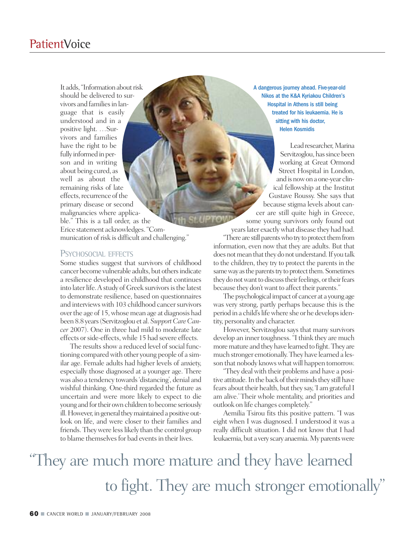It adds, "Information about risk should be delivered to survivors and families in language that is easily understood and in a positive light. …Survivors and families have the right to be fully informed in person and in writing about being cured, as well as about the remaining risks of late effects, recurrence of the primary disease or second malignancies where applicable." This is a tall order, as the Erice statement acknowledges."Communication of risk is difficult and challenging."

#### PSYCHOSOCIAL EFFECTS

Some studies suggest that survivors of childhood cancerbecome vulnerable adults, but othersindicate a resilience developed in childhood that continues into later life. A study of Greek survivors is the latest to demonstrate resilience, based on questionnaires and interviews with 103 childhood cancer survivors overthe age of 15,whosemean age at diagnosis had been8.8 years(Servitzoglou et al.*SupportCareCancer* 2007). One in three had mild to moderate late effects or side-effects, while 15 had severe effects.

The results show a reduced level of social functioning comparedwith other young people of a similar age. Female adults had higher levels of anxiety, especially those diagnosed at a younger age. There was also a tendency towards'distancing', denial and wishful thinking. One-third regarded the future as uncertain and were more likely to expect to die young and for their own children to become seriously ill. However, in general they maintained a positive outlook on life, and were closer to their families and friends. They were less likely than the control group to blame themselves for bad events in their lives.

A dangerous journey ahead. Five-year-old Nikos at the K&A Kyriakou Children's Hospital in Athens is still being treated for his leukaemia. He is sitting with his doctor, Helen Kosmidis

Lead researcher, Marina Servitzoglou, has since been working at Great Ormond Street Hospital in London, and is now on a one-year clinical fellowship at the Institut Gustave Roussy. She says that because stigma levels about cancer are still quite high in Greece, some young survivors only found out yearslater exactlywhat disease they had had. "There are still parents who try to protect them from information, even now that they are adults. But that does not mean that they do not understand. If you talk to the children, they try to protect the parents in the

same way as the parents try to protect them. Sometimes they do not want to discuss their feelings, or their fears because they don't want to affect their parents."

The psychological impact of cancer at a young age was very strong, partly perhaps because this is the period in a child's life where she or he develops identity, personality and character.

However, Servitzoglou says that many survivors develop an inner toughness. "I think they are much more mature and they have learned to fight. They are much stronger emotionally.They have learned a lesson that nobody knows what will happen tomorrow.

"They deal with their problems and have a positive attitude. In the back of their minds they still have fears about their health, but they say, 'I am grateful I am alive.' Their whole mentality, and priorities and outlook on life changes completely."

Aemilia Tsirou fits this positive pattern. "I was eight when I was diagnosed. I understood it was a really difficult situation. I did not know that I had leukaemia, but a very scary anaemia. My parents were

"They are much more mature and they have learned to fight. They are much stronger emotionally "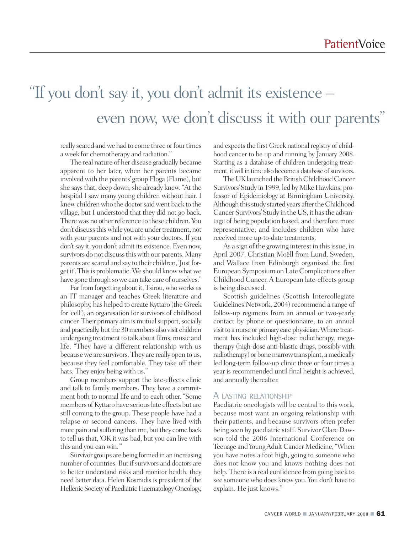### "If you don 't say it, you don 't admit its existence – even now, we don 't discuss it with our parents "

really scared and we had to come three or four times aweek for chemotherapy and radiation."

The real nature of her disease gradually became apparent to her later, when her parents became involved with the parents' group Floga (Flame), but she says that, deep down, she already knew. "At the hospital I saw many young children without hair. I knew children who the doctor said went back to the village, but I understood that they did not go back. There was no other reference to these children. You don't discuss this while you are under treatment, not with your parents and not with your doctors. If you don't say it, you don't admit its existence. Even now, survivors do not discuss this with our parents. Many parents are scared and say to their children, 'Just forget it'. This is problematic. We should know what we have gone through sowe can take care of ourselves."

Far from forgetting about it, Tsirou, who works as an IT manager and teaches Greek literature and philosophy, has helped to create Kyttaro (the Greek for 'cell'), an organisation for survivors of childhood cancer. Their primary aim is mutual support, socially and practically, but the 30 members also visit children undergoing treatment to talk about films, music and life. "They have a different relationship with us becausewe are survivors.They are really open to us, because they feel comfortable. They take off their hats. They enjoy being with us."

Group members support the late-effects clinic and talk to family members. They have a commitment both to normal life and to each other. "Some members of Kyttaro have serious late effects but are still coming to the group. These people have had a relapse or second cancers. They have lived with more pain and suffering than me, but they come back to tell us that, 'OK it was bad, but you can live with this and you canwin.'"

Survivor groups are being formed in an increasing number of countries. But if survivors and doctors are to better understand risks and monitor health, they need better data. Helen Kosmidis is president of the Hellenic Society of Paediatric Haematology Oncology,

and expects the first Greek national registry of childhood cancer to be up and running by January 2008. Starting as a database of children undergoing treatment, it will in time also become a database of survivors.

The UK launched the British Childhood Cancer Survivors' Study in 1999, led by Mike Hawkins, professor of Epidemiology at Birmingham University. Although this study started years after the Childhood Cancer Survivors' Study in the US, it has the advantage of being population based, and therefore more representative, and includes children who have received more up-to-date treatments.

As a sign of the growing interest in this issue, in April 2007, Christian Moëll from Lund, Sweden, and Wallace from Edinburgh organised the first European Symposiumon Late Complications after Childhood Cancer.A European late-effects group is being discussed.

Scottish guidelines (Scottish Intercollegiate Guidelines Network, 2004) recommend a range of follow-up regimens from an annual or two-yearly contact by phone or questionnaire, to an annual visit to a nurse or primary care physician. Where treatment has included high-dose radiotherapy, megatherapy (high-dose anti-blastic drugs, possibly with radiotherapy) or bone marrow transplant, a medically led long-term follow-up clinic three or four times a year is recommended until final height is achieved, and annually thereafter.

#### A LASTING RELATIONSHIP

Paediatric oncologists will be central to this work, because most want an ongoing relationship with their patients, and because survivors often prefer being seen by paediatric staff. Survivor Clare Dawson told the 2006 International Conference on Teenage and YoungAdult Cancer Medicine, "When you have notes a foot high, going to someone who does not know you and knows nothing does not help. There is a real confidence from going back to see someone who does know you. You don't have to explain. He just knows."